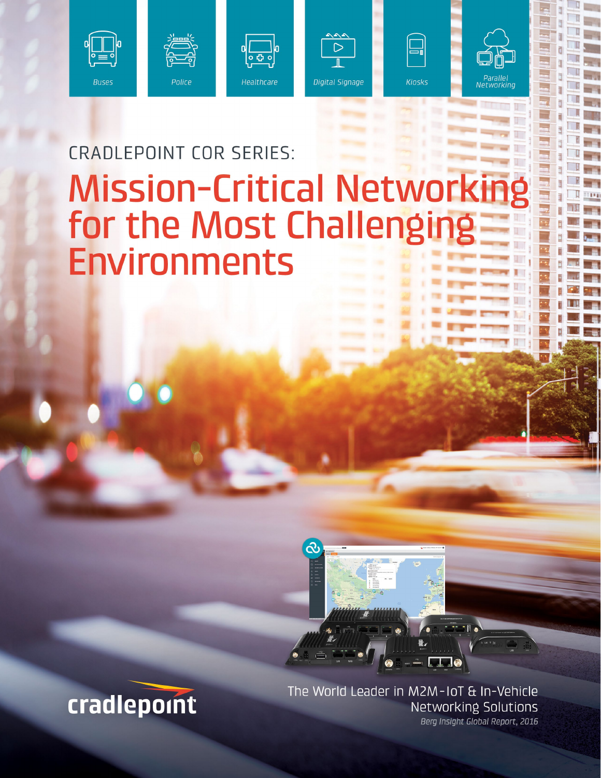











# **CRADLEPOINT COR SERIES: Mission-Critical Networki** for the Most Challenging **Environments**



The World Leader in M2M-IoT & In-Vehicle Networking Solutions Berg Insight Global Report, 2016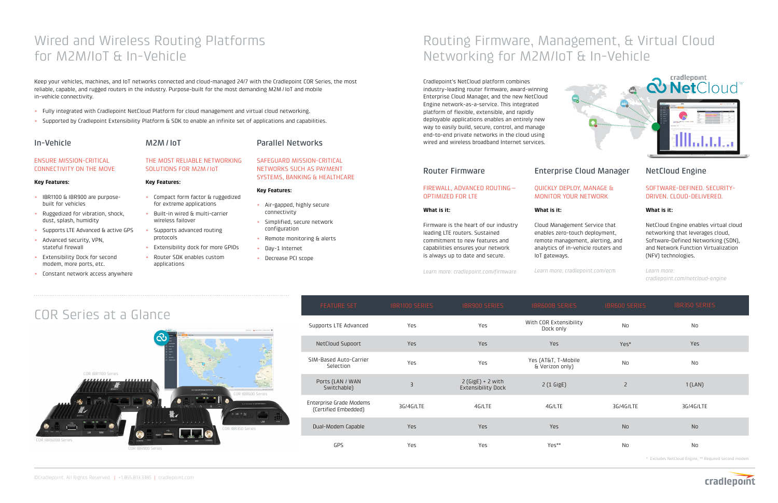# Wired and Wireless Routing Platforms for M2M/IoT & In-Vehicle

#### **Key Features:**

#### In-Vehicle ENSURE MISSION-CRITICAL CONNECTIVITY ON THE MOVE M2M / IoT THE MOST RELIABLE NETWORKING SOLUTIONS FOR M2M / IoT

- + IBR1100 & IBR900 are purposebuilt for vehicles
- + Ruggedized for vibration, shock, dust, splash, humidity
- + Supports LTE Advanced & active GPS
- + Advanced security, VPN, stateful firewall
- + Extensibility Dock for second modem, more ports, etc.
- + Constant network access anywhere

### **Key Features:**

- + Compact form factor & ruggedized for extreme applications
- + Built-in wired & multi-carrier wireless failover
- + Supports advanced routing protocols
- + Extensibility dock for more GPIOs + Router SDK enables custom
	- applications



# SAFEGUARD MISSION-CRITICAL NETWORKS SUCH AS PAYMENT SYSTEMS, BANKING & HEALTHCARE

# **Key Features:**

- + Air-gapped, highly secure connectivity
- + Simplified, secure network
- 
- -



- configuration
- + Remote monitoring & alerts
- + Day-1 Internet
	- + Decrease PCI scope

Keep your vehicles, machines, and IoT networks connected and cloud-managed 24/7 with the Cradlepoint COR Series, the most reliable, capable, and rugged routers in the industry. Purpose-built for the most demanding M2M / IoT and mobile in-vehicle connectivity.

- + Fully integrated with Cradlepoint NetCloud Platform for cloud management and virtual cloud networking.
- + Supported by Cradlepoint Extensibility Platform & SDK to enable an infinite set of applications and capabilities.

# Routing Firmware, Management, & Virtual Cloud Networking for M2M/IoT & In-Vehicle

| <b>FEATURE SET</b>                              | IBR1100 SERIES | IBR900 SERIES                                    | <b>IBR600B SERIES</b>                  | <b>IBR600 SERIES</b> | <b>IBR350 SERIES</b>                                 |
|-------------------------------------------------|----------------|--------------------------------------------------|----------------------------------------|----------------------|------------------------------------------------------|
| Supports LTE Advanced                           | Yes            | Yes                                              | With COR Extensibility<br>Dock only    | No                   | <b>No</b>                                            |
| NetCloud Supoort                                | Yes            | <b>Yes</b>                                       | Yes                                    | Yes*                 | Yes                                                  |
| SIM-Based Auto-Carrier<br>Selection             | Yes            | Yes                                              | Yes (AT&T, T-Mobile<br>& Verizon only) | N <sub>0</sub>       | <b>No</b>                                            |
| Ports (LAN / WAN<br>Switchable)                 | $\overline{3}$ | $2$ (GigE) + 2 with<br><b>Extensibility Dock</b> | 2 (1 GigE)                             | $\overline{2}$       | 1(LAN)                                               |
| Enterprise Grade Modems<br>(Certified Embedded) | 3G/4G/LTE      | 4G/LTE                                           | 4G/LTE                                 | 3G/4G/LTE            | 3G/4G/LTE                                            |
| Dual-Modem Capable                              | <b>Yes</b>     | <b>Yes</b>                                       | Yes                                    | <b>No</b>            | <b>No</b>                                            |
| GPS                                             | Yes            | Yes                                              | Yes**                                  | No                   | No                                                   |
|                                                 |                |                                                  |                                        |                      | * Excludes NetCloud Engine, ** Required second modem |

Cradlepoint's NetCloud platform combines industry-leading router firmware, award-winning Enterprise Cloud Manager, and the new NetCloud Engine network-as-a-service. This integrated platform of flexible, extensible, and rapidly deployable applications enables an entirely new way to easily build, secure, control, and manage end-to-end private networks in the cloud using wired and wireless broadband Internet services.

is always up to date and secure.

#### Router Firmware FIREWALL, ADVANCED ROUTING— OPTIMIZED FOR LTE **What is it:**  Firmware is the heart of our industry leading LTE routers. Sustained commitment to new features and capabilities ensures your network Enterprise Cloud Manager QUICKLY DEPLOY, MANAGE & MONITOR YOUR NETWORK **What is it:**  Cloud Management Service that enables zero-touch deployment, remote management, alerting, and

*Learn more: cradlepoint.com/firmware*



analytics of in-vehicle routers and

IoT gateways.

*Learn more: cradlepoint.com/ecm*

# NetCloud Engine

### SOFTWARE-DEFINED. SECURITY-DRIVEN. CLOUD-DELIVERED.

### **What is it:**

NetCloud Engine enables virtual cloud networking that leverages cloud, Software-Defined Networking (SDN), and Network Function Virtualization (NFV) technologies.

*Learn more: cradlepoint.com/netcloud-engine*